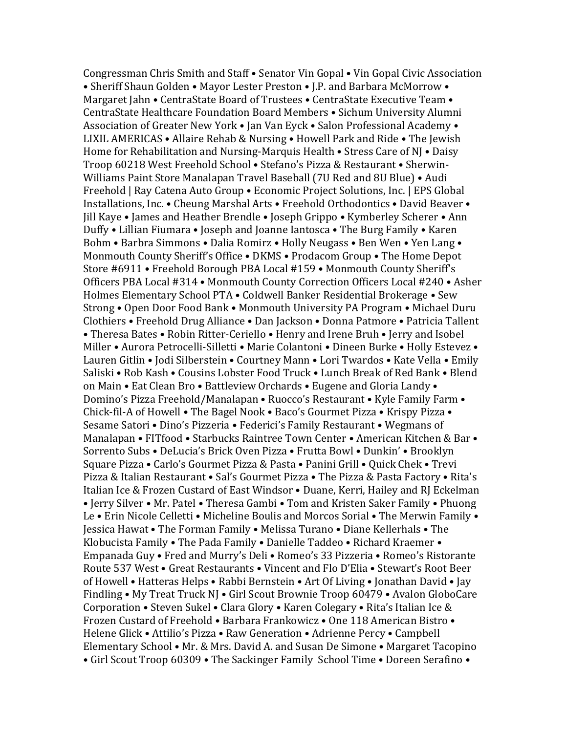Congressman Chris Smith and Staff • Senator Vin Gopal • Vin Gopal Civic Association • Sheriff Shaun Golden • Mayor Lester Preston • J.P. and Barbara McMorrow • Margaret Jahn • CentraState Board of Trustees • CentraState Executive Team • CentraState Healthcare Foundation Board Members • Sichum University Alumni Association of Greater New York • Jan Van Eyck • Salon Professional Academy • LIXIL AMERICAS • Allaire Rehab & Nursing • Howell Park and Ride • The Jewish Home for Rehabilitation and Nursing-Marquis Health • Stress Care of NJ • Daisy Troop 60218 West Freehold School • Stefano's Pizza & Restaurant • Sherwin-Williams Paint Store Manalapan Travel Baseball (7U Red and 8U Blue) • Audi Freehold | Ray Catena Auto Group • Economic Project Solutions, Inc. | EPS Global Installations, Inc. • Cheung Marshal Arts • Freehold Orthodontics • David Beaver • Jill Kaye • James and Heather Brendle • Joseph Grippo • Kymberley Scherer • Ann Duffy • Lillian Fiumara • Joseph and Joanne Iantosca • The Burg Family • Karen Bohm • Barbra Simmons • Dalia Romirz • Holly Neugass • Ben Wen • Yen Lang • Monmouth County Sheriff's Office • DKMS • Prodacom Group • The Home Depot Store #6911 • Freehold Borough PBA Local #159 • Monmouth County Sheriff's Officers PBA Local #314 • Monmouth County Correction Officers Local #240 • Asher Holmes Elementary School PTA • Coldwell Banker Residential Brokerage • Sew Strong • Open Door Food Bank • Monmouth University PA Program • Michael Duru Clothiers • Freehold Drug Alliance • Dan Jackson • Donna Patmore • Patricia Tallent • Theresa Bates • Robin Ritter-Ceriello • Henry and Irene Bruh • Jerry and Isobel Miller • Aurora Petrocelli-Silletti • Marie Colantoni • Dineen Burke • Holly Estevez • Lauren Gitlin • Jodi Silberstein • Courtney Mann • Lori Twardos • Kate Vella • Emily Saliski • Rob Kash • Cousins Lobster Food Truck • Lunch Break of Red Bank • Blend on Main • Eat Clean Bro • Battleview Orchards • Eugene and Gloria Landy • Domino's Pizza Freehold/Manalapan • Ruocco's Restaurant • Kyle Family Farm • Chick-fil-A of Howell • The Bagel Nook • Baco's Gourmet Pizza • Krispy Pizza • Sesame Satori • Dino's Pizzeria • Federici's Family Restaurant • Wegmans of Manalapan • FITfood • Starbucks Raintree Town Center • American Kitchen & Bar • Sorrento Subs • DeLucia's Brick Oven Pizza • Frutta Bowl • Dunkin' • Brooklyn Square Pizza • Carlo's Gourmet Pizza & Pasta • Panini Grill • Quick Chek • Trevi Pizza & Italian Restaurant • Sal's Gourmet Pizza • The Pizza & Pasta Factory • Rita's Italian Ice & Frozen Custard of East Windsor • Duane, Kerri, Hailey and RJ Eckelman • Jerry Silver • Mr. Patel • Theresa Gambi • Tom and Kristen Saker Family • Phuong Le • Erin Nicole Celletti • Micheline Boulis and Morcos Sorial • The Merwin Family • Jessica Hawat • The Forman Family • Melissa Turano • Diane Kellerhals • The Klobucista Family • The Pada Family • Danielle Taddeo • Richard Kraemer • Empanada Guy • Fred and Murry's Deli • Romeo's 33 Pizzeria • Romeo's Ristorante Route 537 West • Great Restaurants • Vincent and Flo D'Elia • Stewart's Root Beer of Howell • Hatteras Helps • Rabbi Bernstein • Art Of Living • Jonathan David • Jay Findling • My Treat Truck NJ • Girl Scout Brownie Troop 60479 • Avalon GloboCare Corporation • Steven Sukel • Clara Glory • Karen Colegary • Rita's Italian Ice & Frozen Custard of Freehold • Barbara Frankowicz • One 118 American Bistro • Helene Glick • Attilio's Pizza • Raw Generation • Adrienne Percy • Campbell Elementary School • Mr. & Mrs. David A. and Susan De Simone • Margaret Tacopino • Girl Scout Troop 60309 • The Sackinger Family School Time • Doreen Serafino •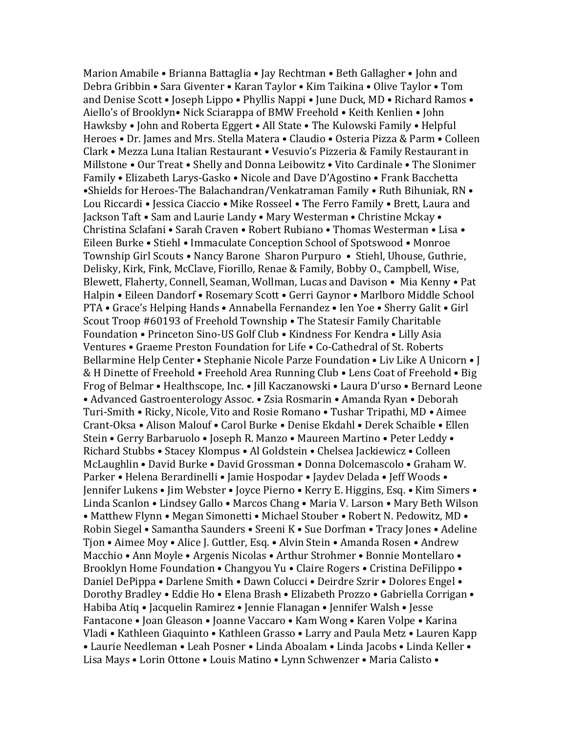Marion Amabile • Brianna Battaglia • Jay Rechtman • Beth Gallagher • John and Debra Gribbin • Sara Giventer • Karan Taylor • Kim Taikina • Olive Taylor • Tom and Denise Scott • Joseph Lippo • Phyllis Nappi • June Duck, MD • Richard Ramos • Aiello's of Brooklyn• Nick Sciarappa of BMW Freehold • Keith Kenlien • John Hawksby • John and Roberta Eggert • All State • The Kulowski Family • Helpful Heroes • Dr. James and Mrs. Stella Matera • Claudio • Osteria Pizza & Parm • Colleen Clark • Mezza Luna Italian Restaurant • Vesuvio's Pizzeria & Family Restaurant in Millstone • Our Treat • Shelly and Donna Leibowitz • Vito Cardinale • The Slonimer Family • Elizabeth Larys-Gasko • Nicole and Dave D'Agostino • Frank Bacchetta •Shields for Heroes-The Balachandran/Venkatraman Family • Ruth Bihuniak, RN • Lou Riccardi • Jessica Ciaccio • Mike Rosseel • The Ferro Family • Brett, Laura and Jackson Taft • Sam and Laurie Landy • Mary Westerman • Christine Mckay • Christina Sclafani • Sarah Craven • Robert Rubiano • Thomas Westerman • Lisa • Eileen Burke • Stiehl • Immaculate Conception School of Spotswood • Monroe Township Girl Scouts • Nancy Barone Sharon Purpuro • Stiehl, Uhouse, Guthrie, Delisky, Kirk, Fink, McClave, Fiorillo, Renae & Family, Bobby O., Campbell, Wise, Blewett, Flaherty, Connell, Seaman, Wollman, Lucas and Davison • Mia Kenny • Pat Halpin • Eileen Dandorf • Rosemary Scott • Gerri Gaynor • Marlboro Middle School PTA • Grace's Helping Hands • Annabella Fernandez • Ien Yoe • Sherry Galit • Girl Scout Troop #60193 of Freehold Township • The Statesir Family Charitable Foundation • Princeton Sino-US Golf Club • Kindness For Kendra • Lilly Asia Ventures • Graeme Preston Foundation for Life • Co-Cathedral of St. Roberts Bellarmine Help Center • Stephanie Nicole Parze Foundation • Liv Like A Unicorn • J & H Dinette of Freehold • Freehold Area Running Club • Lens Coat of Freehold • Big Frog of Belmar • Healthscope, Inc. • Jill Kaczanowski • Laura D'urso • Bernard Leone • Advanced Gastroenterology Assoc. • Zsia Rosmarin • Amanda Ryan • Deborah Turi-Smith • Ricky, Nicole, Vito and Rosie Romano • Tushar Tripathi, MD • Aimee Crant-Oksa • Alison Malouf • Carol Burke • Denise Ekdahl • Derek Schaible • Ellen Stein • Gerry Barbaruolo • Joseph R. Manzo • Maureen Martino • Peter Leddy • Richard Stubbs • Stacey Klompus • Al Goldstein • Chelsea Jackiewicz • Colleen McLaughlin • David Burke • David Grossman • Donna Dolcemascolo • Graham W. Parker • Helena Berardinelli • Jamie Hospodar • Jaydev Delada • Jeff Woods • Jennifer Lukens • Jim Webster • Joyce Pierno • Kerry E. Higgins, Esq. • Kim Simers • Linda Scanlon • Lindsey Gallo • Marcos Chang • Maria V. Larson • Mary Beth Wilson • Matthew Flynn • Megan Simonetti • Michael Stouber • Robert N. Pedowitz, MD • Robin Siegel • Samantha Saunders • Sreeni K • Sue Dorfman • Tracy Jones • Adeline Tjon • Aimee Moy • Alice J. Guttler, Esq. • Alvin Stein • Amanda Rosen • Andrew Macchio • Ann Moyle • Argenis Nicolas • Arthur Strohmer • Bonnie Montellaro • Brooklyn Home Foundation • Changyou Yu • Claire Rogers • Cristina DeFilippo • Daniel DePippa • Darlene Smith • Dawn Colucci • Deirdre Szrir • Dolores Engel • Dorothy Bradley • Eddie Ho • Elena Brash • Elizabeth Prozzo • Gabriella Corrigan • Habiba Atiq • Jacquelin Ramirez • Jennie Flanagan • Jennifer Walsh • Jesse Fantacone • Joan Gleason • Joanne Vaccaro • Kam Wong • Karen Volpe • Karina Vladi • Kathleen Giaquinto • Kathleen Grasso • Larry and Paula Metz • Lauren Kapp • Laurie Needleman • Leah Posner • Linda Aboalam • Linda Jacobs • Linda Keller • Lisa Mays • Lorin Ottone • Louis Matino • Lynn Schwenzer • Maria Calisto •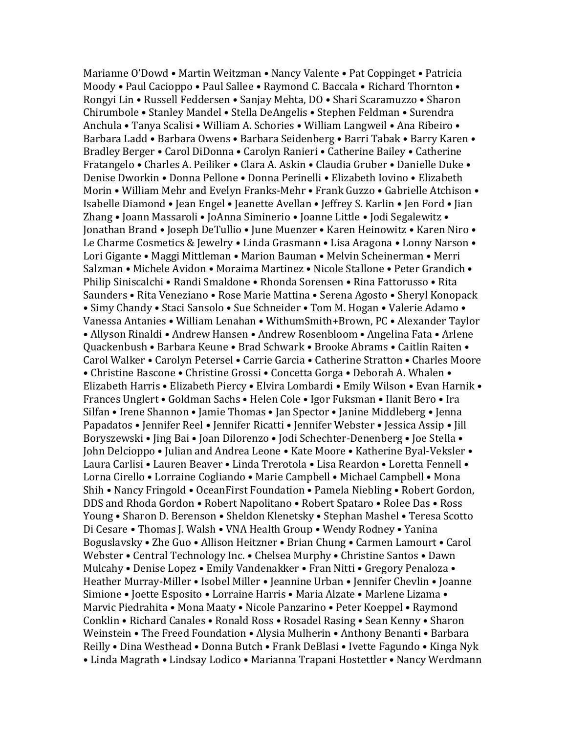Marianne O'Dowd • Martin Weitzman • Nancy Valente • Pat Coppinget • Patricia Moody • Paul Cacioppo • Paul Sallee • Raymond C. Baccala • Richard Thornton • Rongyi Lin • Russell Feddersen • Sanjay Mehta, DO • Shari Scaramuzzo • Sharon Chirumbole • Stanley Mandel • Stella DeAngelis • Stephen Feldman • Surendra Anchula • Tanya Scalisi • William A. Schories • William Langweil • Ana Ribeiro • Barbara Ladd • Barbara Owens • Barbara Seidenberg • Barri Tabak • Barry Karen • Bradley Berger • Carol DiDonna • Carolyn Ranieri • Catherine Bailey • Catherine Fratangelo • Charles A. Peiliker • Clara A. Askin • Claudia Gruber • Danielle Duke • Denise Dworkin • Donna Pellone • Donna Perinelli • Elizabeth Iovino • Elizabeth Morin • William Mehr and Evelyn Franks-Mehr • Frank Guzzo • Gabrielle Atchison • Isabelle Diamond • Jean Engel • Jeanette Avellan • Jeffrey S. Karlin • Jen Ford • Jian Zhang • Joann Massaroli • JoAnna Siminerio • Joanne Little • Jodi Segalewitz • Jonathan Brand • Joseph DeTullio • June Muenzer • Karen Heinowitz • Karen Niro • Le Charme Cosmetics & Jewelry • Linda Grasmann • Lisa Aragona • Lonny Narson • Lori Gigante • Maggi Mittleman • Marion Bauman • Melvin Scheinerman • Merri Salzman • Michele Avidon • Moraima Martinez • Nicole Stallone • Peter Grandich • Philip Siniscalchi • Randi Smaldone • Rhonda Sorensen • Rina Fattorusso • Rita Saunders • Rita Veneziano • Rose Marie Mattina • Serena Agosto • Sheryl Konopack • Simy Chandy • Staci Sansolo • Sue Schneider • Tom M. Hogan • Valerie Adamo • Vanessa Antanies • William Lenahan • WithumSmith+Brown, PC • Alexander Taylor • Allyson Rinaldi • Andrew Hansen • Andrew Rosenbloom • Angelina Fata • Arlene Quackenbush • Barbara Keune • Brad Schwark • Brooke Abrams • Caitlin Raiten • Carol Walker • Carolyn Petersel • Carrie Garcia • Catherine Stratton • Charles Moore • Christine Bascone • Christine Grossi • Concetta Gorga • Deborah A. Whalen • Elizabeth Harris • Elizabeth Piercy • Elvira Lombardi • Emily Wilson • Evan Harnik • Frances Unglert • Goldman Sachs • Helen Cole • Igor Fuksman • Ilanit Bero • Ira Silfan • Irene Shannon • Jamie Thomas • Jan Spector • Janine Middleberg • Jenna Papadatos • Jennifer Reel • Jennifer Ricatti • Jennifer Webster • Jessica Assip • Jill Boryszewski • Jing Bai • Joan Dilorenzo • Jodi Schechter-Denenberg • Joe Stella • John Delcioppo • Julian and Andrea Leone • Kate Moore • Katherine Byal-Veksler • Laura Carlisi • Lauren Beaver • Linda Trerotola • Lisa Reardon • Loretta Fennell • Lorna Cirello • Lorraine Cogliando • Marie Campbell • Michael Campbell • Mona Shih • Nancy Fringold • OceanFirst Foundation • Pamela Niebling • Robert Gordon, DDS and Rhoda Gordon • Robert Napolitano • Robert Spataro • Rolee Das • Ross Young • Sharon D. Berenson • Sheldon Klenetsky • Stephan Mashel • Teresa Scotto Di Cesare • Thomas J. Walsh • VNA Health Group • Wendy Rodney • Yanina Boguslavsky • Zhe Guo • Allison Heitzner • Brian Chung • Carmen Lamourt • Carol Webster • Central Technology Inc. • Chelsea Murphy • Christine Santos • Dawn Mulcahy • Denise Lopez • Emily Vandenakker • Fran Nitti • Gregory Penaloza • Heather Murray-Miller • Isobel Miller • Jeannine Urban • Jennifer Chevlin • Joanne Simione • Joette Esposito • Lorraine Harris • Maria Alzate • Marlene Lizama • Marvic Piedrahita • Mona Maaty • Nicole Panzarino • Peter Koeppel • Raymond Conklin • Richard Canales • Ronald Ross • Rosadel Rasing • Sean Kenny • Sharon Weinstein • The Freed Foundation • Alysia Mulherin • Anthony Benanti • Barbara Reilly • Dina Westhead • Donna Butch • Frank DeBlasi • Ivette Fagundo • Kinga Nyk • Linda Magrath • Lindsay Lodico • Marianna Trapani Hostettler • Nancy Werdmann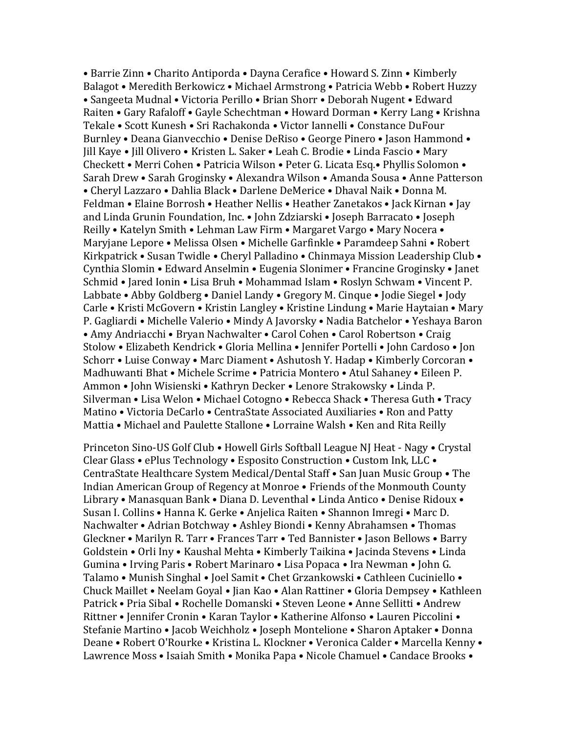• Barrie Zinn • Charito Antiporda • Dayna Cerafice • Howard S. Zinn • Kimberly Balagot • Meredith Berkowicz • Michael Armstrong • Patricia Webb • Robert Huzzy • Sangeeta Mudnal • Victoria Perillo • Brian Shorr • Deborah Nugent • Edward Raiten • Gary Rafaloff • Gayle Schechtman • Howard Dorman • Kerry Lang • Krishna Tekale • Scott Kunesh • Sri Rachakonda • Victor Iannelli • Constance DuFour Burnley • Deana Gianvecchio • Denise DeRiso • George Pinero • Jason Hammond • Jill Kaye • Jill Olivero • Kristen L. Saker • Leah C. Brodie • Linda Fascio • Mary Checkett • Merri Cohen • Patricia Wilson • Peter G. Licata Esq.• Phyllis Solomon • Sarah Drew • Sarah Groginsky • Alexandra Wilson • Amanda Sousa • Anne Patterson • Cheryl Lazzaro • Dahlia Black • Darlene DeMerice • Dhaval Naik • Donna M. Feldman • Elaine Borrosh • Heather Nellis • Heather Zanetakos • Jack Kirnan • Jay and Linda Grunin Foundation, Inc. • John Zdziarski • Joseph Barracato • Joseph Reilly • Katelyn Smith • Lehman Law Firm • Margaret Vargo • Mary Nocera • Maryjane Lepore • Melissa Olsen • Michelle Garfinkle • Paramdeep Sahni • Robert Kirkpatrick • Susan Twidle • Cheryl Palladino • Chinmaya Mission Leadership Club • Cynthia Slomin • Edward Anselmin • Eugenia Slonimer • Francine Groginsky • Janet Schmid • Jared Ionin • Lisa Bruh • Mohammad Islam • Roslyn Schwam • Vincent P. Labbate • Abby Goldberg • Daniel Landy • Gregory M. Cinque • Jodie Siegel • Jody Carle • Kristi McGovern • Kristin Langley • Kristine Lindung • Marie Haytaian • Mary P. Gagliardi • Michelle Valerio • Mindy A Javorsky • Nadia Batchelor • Yeshaya Baron • Amy Andriacchi • Bryan Nachwalter • Carol Cohen • Carol Robertson • Craig Stolow • Elizabeth Kendrick • Gloria Mellina • Jennifer Portelli • John Cardoso • Jon Schorr • Luise Conway • Marc Diament • Ashutosh Y. Hadap • Kimberly Corcoran • Madhuwanti Bhat • Michele Scrime • Patricia Montero • Atul Sahaney • Eileen P. Ammon • John Wisienski • Kathryn Decker • Lenore Strakowsky • Linda P. Silverman • Lisa Welon • Michael Cotogno • Rebecca Shack • Theresa Guth • Tracy Matino • Victoria DeCarlo • CentraState Associated Auxiliaries • Ron and Patty Mattia • Michael and Paulette Stallone • Lorraine Walsh • Ken and Rita Reilly

Princeton Sino-US Golf Club • Howell Girls Softball League NJ Heat - Nagy • Crystal Clear Glass • ePlus Technology • Esposito Construction • Custom Ink, LLC • CentraState Healthcare System Medical/Dental Staff • San Juan Music Group • The Indian American Group of Regency at Monroe • Friends of the Monmouth County Library • Manasquan Bank • Diana D. Leventhal • Linda Antico • Denise Ridoux • Susan I. Collins • Hanna K. Gerke • Anjelica Raiten • Shannon Imregi • Marc D. Nachwalter • Adrian Botchway • Ashley Biondi • Kenny Abrahamsen • Thomas Gleckner • Marilyn R. Tarr • Frances Tarr • Ted Bannister • Jason Bellows • Barry Goldstein • Orli Iny • Kaushal Mehta • Kimberly Taikina • Jacinda Stevens • Linda Gumina • Irving Paris • Robert Marinaro • Lisa Popaca • Ira Newman • John G. Talamo • Munish Singhal • Joel Samit • Chet Grzankowski • Cathleen Cuciniello • Chuck Maillet • Neelam Goyal • Jian Kao • Alan Rattiner • Gloria Dempsey • Kathleen Patrick • Pria Sibal • Rochelle Domanski • Steven Leone • Anne Sellitti • Andrew Rittner • Jennifer Cronin • Karan Taylor • Katherine Alfonso • Lauren Piccolini • Stefanie Martino • Jacob Weichholz • Joseph Montelione • Sharon Aptaker • Donna Deane • Robert O'Rourke • Kristina L. Klockner • Veronica Calder • Marcella Kenny • Lawrence Moss • Isaiah Smith • Monika Papa • Nicole Chamuel • Candace Brooks •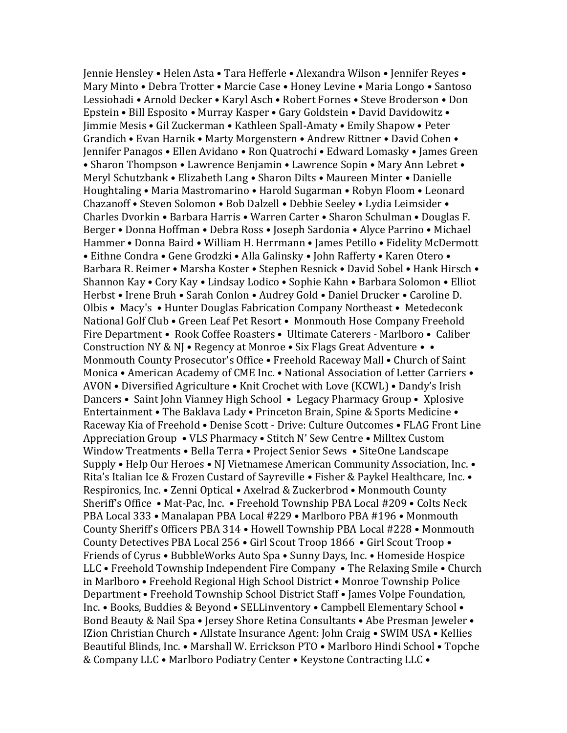Jennie Hensley • Helen Asta • Tara Hefferle • Alexandra Wilson • Jennifer Reyes • Mary Minto • Debra Trotter • Marcie Case • Honey Levine • Maria Longo • Santoso Lessiohadi • Arnold Decker • Karyl Asch • Robert Fornes • Steve Broderson • Don Epstein • Bill Esposito • Murray Kasper • Gary Goldstein • David Davidowitz • Jimmie Mesis • Gil Zuckerman • Kathleen Spall-Amaty • Emily Shapow • Peter Grandich • Evan Harnik • Marty Morgenstern • Andrew Rittner • David Cohen • Jennifer Panagos • Ellen Avidano • Ron Quatrochi • Edward Lomasky • James Green • Sharon Thompson • Lawrence Benjamin • Lawrence Sopin • Mary Ann Lebret • Meryl Schutzbank • Elizabeth Lang • Sharon Dilts • Maureen Minter • Danielle Houghtaling • Maria Mastromarino • Harold Sugarman • Robyn Floom • Leonard Chazanoff • Steven Solomon • Bob Dalzell • Debbie Seeley • Lydia Leimsider • Charles Dvorkin • Barbara Harris • Warren Carter • Sharon Schulman • Douglas F. Berger • Donna Hoffman • Debra Ross • Joseph Sardonia • Alyce Parrino • Michael Hammer • Donna Baird • William H. Herrmann • James Petillo • Fidelity McDermott • Eithne Condra • Gene Grodzki • Alla Galinsky • John Rafferty • Karen Otero • Barbara R. Reimer • Marsha Koster • Stephen Resnick • David Sobel • Hank Hirsch • Shannon Kay • Cory Kay • Lindsay Lodico • Sophie Kahn • Barbara Solomon • Elliot Herbst • Irene Bruh • Sarah Conlon • Audrey Gold • Daniel Drucker • Caroline D. Olbis • Macy's • Hunter Douglas Fabrication Company Northeast • Metedeconk National Golf Club • Green Leaf Pet Resort • Monmouth Hose Company Freehold Fire Department • Rook Coffee Roasters • Ultimate Caterers - Marlboro • Caliber Construction NY & NJ • Regency at Monroe • Six Flags Great Adventure • • Monmouth County Prosecutor's Office • Freehold Raceway Mall • Church of Saint Monica • American Academy of CME Inc. • National Association of Letter Carriers • AVON • Diversified Agriculture • Knit Crochet with Love (KCWL) • Dandy's Irish Dancers • Saint John Vianney High School • Legacy Pharmacy Group • Xplosive Entertainment • The Baklava Lady • Princeton Brain, Spine & Sports Medicine • Raceway Kia of Freehold • Denise Scott - Drive: Culture Outcomes • FLAG Front Line Appreciation Group • VLS Pharmacy • Stitch N' Sew Centre • Milltex Custom Window Treatments • Bella Terra • Project Senior Sews • SiteOne Landscape Supply • Help Our Heroes • NJ Vietnamese American Community Association, Inc. • Rita's Italian Ice & Frozen Custard of Sayreville • Fisher & Paykel Healthcare, Inc. • Respironics, Inc. • Zenni Optical • Axelrad & Zuckerbrod • Monmouth County Sheriff's Office • Mat-Pac, Inc. • Freehold Township PBA Local #209 • Colts Neck PBA Local 333 • Manalapan PBA Local #229 • Marlboro PBA #196 • Monmouth County Sheriff's Officers PBA 314 • Howell Township PBA Local #228 • Monmouth County Detectives PBA Local 256 • Girl Scout Troop 1866 • Girl Scout Troop • Friends of Cyrus • BubbleWorks Auto Spa • Sunny Days, Inc. • Homeside Hospice LLC • Freehold Township Independent Fire Company • The Relaxing Smile • Church in Marlboro • Freehold Regional High School District • Monroe Township Police Department • Freehold Township School District Staff • James Volpe Foundation, Inc. • Books, Buddies & Beyond • SELLinventory • Campbell Elementary School • Bond Beauty & Nail Spa • Jersey Shore Retina Consultants • Abe Presman Jeweler • IZion Christian Church • Allstate Insurance Agent: John Craig • SWIM USA • Kellies Beautiful Blinds, Inc. • Marshall W. Errickson PTO • Marlboro Hindi School • Topche & Company LLC • Marlboro Podiatry Center • Keystone Contracting LLC •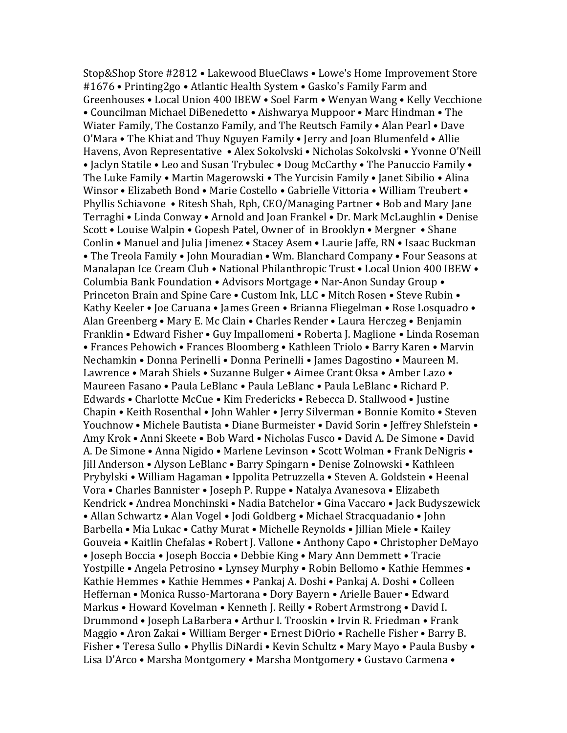Stop&Shop Store #2812 • Lakewood BlueClaws • Lowe's Home Improvement Store #1676 • Printing2go • Atlantic Health System • Gasko's Family Farm and Greenhouses • Local Union 400 IBEW • Soel Farm • Wenyan Wang • Kelly Vecchione • Councilman Michael DiBenedetto • Aishwarya Muppoor • Marc Hindman • The Wiater Family, The Costanzo Family, and The Reutsch Family • Alan Pearl • Dave O'Mara • The Khiat and Thuy Nguyen Family • Jerry and Joan Blumenfeld • Allie Havens, Avon Representative • Alex Sokolvski • Nicholas Sokolvski • Yvonne O'Neill • Jaclyn Statile • Leo and Susan Trybulec • Doug McCarthy • The Panuccio Family • The Luke Family • Martin Magerowski • The Yurcisin Family • Janet Sibilio • Alina Winsor • Elizabeth Bond • Marie Costello • Gabrielle Vittoria • William Treubert • Phyllis Schiavone • Ritesh Shah, Rph, CEO/Managing Partner • Bob and Mary Jane Terraghi • Linda Conway • Arnold and Joan Frankel • Dr. Mark McLaughlin • Denise Scott • Louise Walpin • Gopesh Patel, Owner of in Brooklyn • Mergner • Shane Conlin • Manuel and Julia Jimenez • Stacey Asem • Laurie Jaffe, RN • Isaac Buckman • The Treola Family • John Mouradian • Wm. Blanchard Company • Four Seasons at Manalapan Ice Cream Club • National Philanthropic Trust • Local Union 400 IBEW • Columbia Bank Foundation • Advisors Mortgage • Nar-Anon Sunday Group • Princeton Brain and Spine Care • Custom Ink, LLC • Mitch Rosen • Steve Rubin • Kathy Keeler • Joe Caruana • James Green • Brianna Fliegelman • Rose Losquadro • Alan Greenberg • Mary E. Mc Clain • Charles Render • Laura Herczeg • Benjamin Franklin • Edward Fisher • Guy Impallomeni • Roberta J. Maglione • Linda Roseman • Frances Pehowich • Frances Bloomberg • Kathleen Triolo • Barry Karen • Marvin Nechamkin • Donna Perinelli • Donna Perinelli • James Dagostino • Maureen M. Lawrence • Marah Shiels • Suzanne Bulger • Aimee Crant Oksa • Amber Lazo • Maureen Fasano • Paula LeBlanc • Paula LeBlanc • Paula LeBlanc • Richard P. Edwards • Charlotte McCue • Kim Fredericks • Rebecca D. Stallwood • Justine Chapin • Keith Rosenthal • John Wahler • Jerry Silverman • Bonnie Komito • Steven Youchnow • Michele Bautista • Diane Burmeister • David Sorin • Jeffrey Shlefstein • Amy Krok • Anni Skeete • Bob Ward • Nicholas Fusco • David A. De Simone • David A. De Simone • Anna Nigido • Marlene Levinson • Scott Wolman • Frank DeNigris • Jill Anderson • Alyson LeBlanc • Barry Spingarn • Denise Zolnowski • Kathleen Prybylski • William Hagaman • Ippolita Petruzzella • Steven A. Goldstein • Heenal Vora • Charles Bannister • Joseph P. Ruppe • Natalya Avanesova • Elizabeth Kendrick • Andrea Monchinski • Nadia Batchelor • Gina Vaccaro • Jack Budyszewick • Allan Schwartz • Alan Vogel • Jodi Goldberg • Michael Stracquadanio • John Barbella • Mia Lukac • Cathy Murat • Michelle Reynolds • Jillian Miele • Kailey Gouveia • Kaitlin Chefalas • Robert J. Vallone • Anthony Capo • Christopher DeMayo • Joseph Boccia • Joseph Boccia • Debbie King • Mary Ann Demmett • Tracie Yostpille • Angela Petrosino • Lynsey Murphy • Robin Bellomo • Kathie Hemmes • Kathie Hemmes • Kathie Hemmes • Pankaj A. Doshi • Pankaj A. Doshi • Colleen Heffernan • Monica Russo-Martorana • Dory Bayern • Arielle Bauer • Edward Markus • Howard Kovelman • Kenneth J. Reilly • Robert Armstrong • David I. Drummond • Joseph LaBarbera • Arthur I. Trooskin • Irvin R. Friedman • Frank Maggio • Aron Zakai • William Berger • Ernest DiOrio • Rachelle Fisher • Barry B. Fisher • Teresa Sullo • Phyllis DiNardi • Kevin Schultz • Mary Mayo • Paula Busby • Lisa D'Arco • Marsha Montgomery • Marsha Montgomery • Gustavo Carmena •